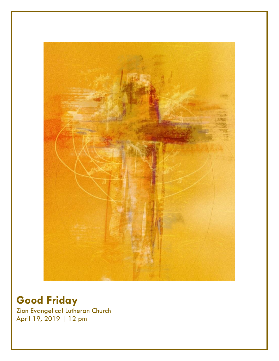

# **Good Friday**

Zion Evangelical Lutheran Church April 19, 2019 | 12 pm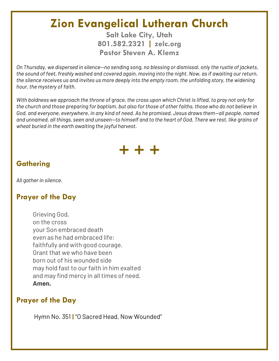# **Zion Evangelical Lutheran Church**

**Salt Lake City, Utah 801.582.2321 | zelc.org Pastor Steven A. Klemz**

*On Thursday, we dispersed in silence—no sending song, no blessing or dismissal, only the rustle of jackets, the sound of feet, freshly washed and covered again, moving into the night. Now, as if awaiting our return, the silence receives us and invites us more deeply into the empty room, the unfolding story, the widening hour, the mystery of faith.*

*With boldness we approach the throne of grace, the cross upon which Christ is lifted, to pray not only for the church and those preparing for baptism, but also for those of other faiths, those who do not believe in God, and everyone, everywhere, in any kind of need. As he promised, Jesus draws them—all people, named and unnamed, all things, seen and unseen—to himself and to the heart of God. There we rest, like grains of wheat buried in the earth awaiting the joyful harvest.*



## **Gathering**

*All gather in silence.*

## **Prayer of the Day**

Grieving God, on the cross your Son embraced death even as he had embraced life: faithfully and with good courage. Grant that we who have been born out of his wounded side may hold fast to our faith in him exalted and may find mercy in all times of need. **Amen.**

## **Prayer of the Day**

Hymn No. 351 || "O Sacred Head, Now Wounded"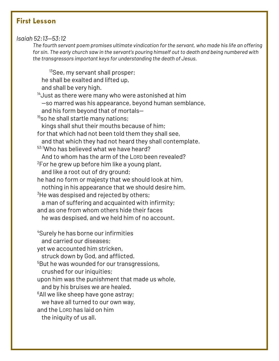## **First Lesson**

#### *Isaiah 52:13—53:12*

*The fourth servant poem promises ultimate vindication for the servant, who made his life an offering for sin. The early church saw in the servant's pouring himself out to death and being numbered with the transgressors important keys for understanding the death of Jesus.*

he shall be exalted and lifted up, and shall be very high.  $^{\rm 14}$ Just as there were many who were astonished at him —so marred was his appearance, beyond human semblance, and his form beyond that of mortals—  $15$ so he shall startle many nations; kings shall shut their mouths because of him; for that which had not been told them they shall see, and that which they had not heard they shall contemplate. 53:1Who has believed what we have heard? And to whom has the arm of the LORD been revealed?  $2$ For he grew up before him like a young plant, and like a root out of dry ground; he had no form or majesty that we should look at him, nothing in his appearance that we should desire him.  $3$ He was despised and rejected by others; a man of suffering and acquainted with infirmity; and as one from whom others hide their faces he was despised, and we held him of no account.

<sup>13</sup>See, my servant shall prosper;

<sup>4</sup>Surely he has borne our infirmities and carried our diseases; yet we accounted him stricken, struck down by God, and afflicted.  $^5$ But he was wounded for our transgressions, crushed for our iniquities; upon him was the punishment that made us whole, and by his bruises we are healed.  $6$ All we like sheep have gone astray; we have all turned to our own way, and the LORD has laid on him

the iniquity of us all.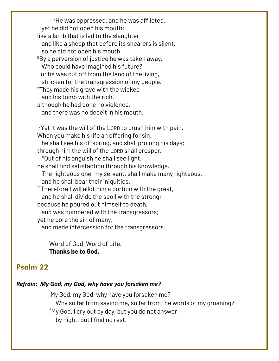<sup>7</sup>He was oppressed, and he was afflicted, yet he did not open his mouth; like a lamb that is led to the slaughter, and like a sheep that before its shearers is silent, so he did not open his mouth.  $8By$  a perversion of justice he was taken away. Who could have imagined his future? For he was cut off from the land of the living, stricken for the transgression of my people. <sup>9</sup>They made his grave with the wicked and his tomb with the rich, although he had done no violence, and there was no deceit in his mouth.  $^{10}$ Yet it was the will of the Lorp to crush him with pain. When you make his life an offering for sin,

he shall see his offspring, and shall prolong his days;

through him the will of the LORD shall prosper.

 $11$ Out of his anguish he shall see light;

he shall find satisfaction through his knowledge.

The righteous one, my servant, shall make many righteous, and he shall bear their iniquities.

 $^{12}$ Therefore I will allot him a portion with the great,

and he shall divide the spoil with the strong;

because he poured out himself to death,

and was numbered with the transgressors;

yet he bore the sin of many,

and made intercession for the transgressors.

Word of God, Word of Life. **Thanks be to God.**

## **Psalm 22**

#### *Refrain: My God, my God, why have you forsaken me?*

<sup>1</sup>My God, my God, why have you forsaken me? Why so far from saving me, so far from the words of my groaning?  $2$ My God, I cry out by day, but you do not answer; by night, but I find no rest.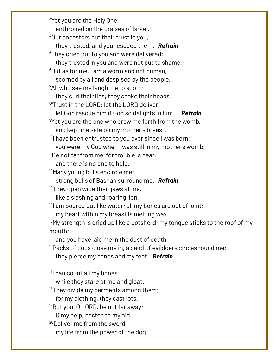$3$ Yet you are the Holy One, enthroned on the praises of Israel. <sup>4</sup>Our ancestors put their trust in you, they trusted, and you rescued them. *Refrain* <sup>5</sup>They cried out to you and were delivered; they trusted in you and were not put to shame.  $6B$ ut as for me, I am a worm and not human, scorned by all and despised by the people.  $\sqrt[7]{2}$ All who see me laugh me to scorn; they curl their lips; they shake their heads. 8 "Trust in the LORD; let the LORD deliver; let God rescue him if God so delights in him." *Refrain*  $9$ Yet you are the one who drew me forth from the womb, and kept me safe on my mother's breast.  $10$ I have been entrusted to you ever since I was born; you were my God when I was still in my mother's womb.  $11$ Be not far from me, for trouble is near, and there is no one to help. <sup>12</sup>Many young bulls encircle me; strong bulls of Bashan surround me. *Refrain*  $13$ They open wide their jaws at me, like a slashing and roaring lion.  $14$ I am poured out like water; all my bones are out of joint; my heart within my breast is melting wax.  $15$ My strength is dried up like a potsherd; my tongue sticks to the roof of my mouth; and you have laid me in the dust of death.  $16P$ acks of dogs close me in, a band of evildoers circles round me; they pierce my hands and my feet. *Refrain* <sup>17</sup>I can count all my bones while they stare at me and gloat.  $18$ They divide my garments among them; for my clothing, they cast lots. <sup>19</sup>But you, O LORD, be not far away; O my help, hasten to my aid. <sup>20</sup>Deliver me from the sword, my life from the power of the dog.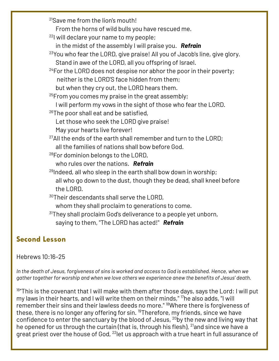<sup>21</sup>Save me from the lion's mouth! From the horns of wild bulls you have rescued me.  $22$ I will declare your name to my people; in the midst of the assembly I will praise you. *Refrain* <sup>23</sup>You who fear the LORD, give praise! All you of Jacob's line, give glory. Stand in awe of the LORD, all you offspring of Israel.  $24$ For the LORD does not despise nor abhor the poor in their poverty; neither is the LORD'S face hidden from them; but when they cry out, the LORD hears them.  $25$ From you comes my praise in the great assembly; I will perform my vows in the sight of those who fear the LORD. <sup>26</sup>The poor shall eat and be satisfied, Let those who seek the LORD give praise! May your hearts live forever!  $^{27}$ All the ends of the earth shall remember and turn to the LORD; all the families of nations shall bow before God.  $28$ For dominion belongs to the LORD, who rules over the nations. *Refrain*  $29$ Indeed, all who sleep in the earth shall bow down in worship; all who go down to the dust, though they be dead, shall kneel before the LORD. <sup>30</sup>Their descendants shall serve the LORD, whom they shall proclaim to generations to come.  $31$ They shall proclaim God's deliverance to a people yet unborn, saying to them, "The LORD has acted!" *Refrain*

## **Second Lesson**

### Hebrews 10:16–25

*In the death of Jesus, forgiveness of sins is worked and access to God is established. Hence, when we gather together for worship and when we love others we experience anew the benefits of Jesus' death.*

 $16$ "This is the covenant that I will make with them after those days, says the Lord: I will put my laws in their hearts, and I will write them on their minds," <sup>17</sup>he also adds, "I will remember their sins and their lawless deeds no more." <sup>18</sup>Where there is forgiveness of these, there is no longer any offering for sin. <sup>19</sup>Therefore, my friends, since we have confidence to enter the sanctuary by the blood of Jesus, <sup>20</sup>by the new and living way that he opened for us through the curtain (that is, through his flesh), <sup>21</sup>and since we have a great priest over the house of God, <sup>22</sup> let us approach with a true heart in full assurance of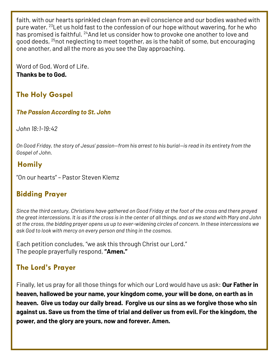faith, with our hearts sprinkled clean from an evil conscience and our bodies washed with pure water. <sup>23</sup> Let us hold fast to the confession of our hope without wavering, for he who has promised is faithful. <sup>24</sup>And let us consider how to provoke one another to love and good deeds, <sup>25</sup>not neglecting to meet together, as is the habit of some, but encouraging one another, and all the more as you see the Day approaching.

Word of God, Word of Life. **Thanks be to God.**

# **The Holy Gospel**

### *The Passion According to St. John*

*John 18:1-19:42*

*On Good Friday, the story of Jesus' passion—from his arrest to his burial—is read in its entirety from the Gospel of John.*

## **Homily**

"On our hearts" – Pastor Steven Klemz

## **Bidding Prayer**

*Since the third century, Christians have gathered on Good Friday at the foot of the cross and there prayed the great intercessions. It is as if the cross is in the center of all things, and as we stand with Mary and John at the cross, the bidding prayer opens us up to ever-widening circles of concern. In these intercessions we ask God to look with mercy on every person and thing in the cosmos.*

Each petition concludes, "we ask this through Christ our Lord." The people prayerfully respond, **"Amen."**

## **The Lord's Prayer**

Finally, let us pray for all those things for which our Lord would have us ask: **Our Father in heaven, hallowed be your name, your kingdom come, your will be done, on earth as in heaven. Give us today our daily bread. Forgive us our sins as we forgive those who sin against us. Save us from the time of trial and deliver us from evil. For the kingdom, the power, and the glory are yours, now and forever. Amen.**